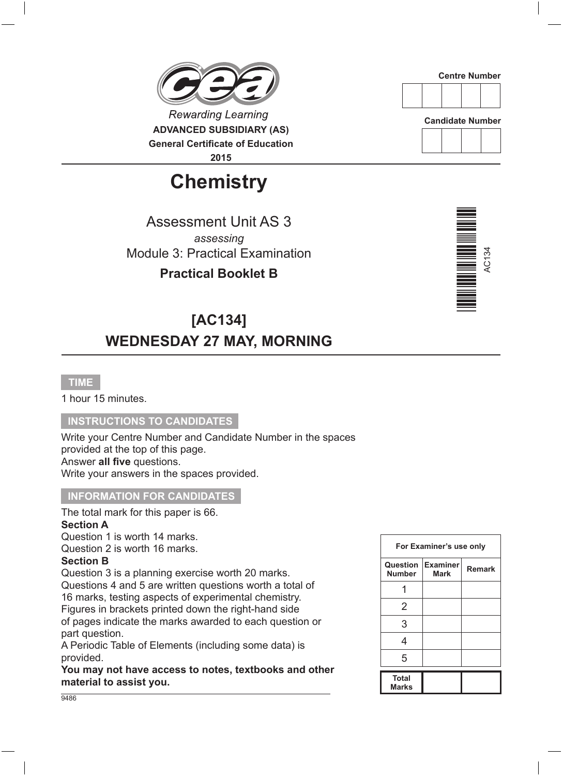

# **Chemistry**

Assessment Unit AS 3 *assessing* Module 3: Practical Examination

### **Practical Booklet B**

## **[AC134] wednesDAY 27 MAY, MORNING**

#### **TIME**

1 hour 15 minutes.

#### **INSTRUCTIONS TO CANDIDATES**

Write your Centre Number and Candidate Number in the spaces provided at the top of this page. Answer **all five** questions. Write your answers in the spaces provided.

#### **INFORMATION FOR CANDIDATES**

The total mark for this paper is 66.

#### **Section A**

Question 1 is worth 14 marks.

Question 2 is worth 16 marks.

#### **Section B**

Question 3 is a planning exercise worth 20 marks. Questions 4 and 5 are written questions worth a total of 16 marks, testing aspects of experimental chemistry. Figures in brackets printed down the right-hand side of pages indicate the marks awarded to each question or part question.

A Periodic Table of Elements (including some data) is provided.

**You may not have access to notes, textbooks and other material to assist you.**

**For Examiner's use only Question Examiner Number Mark Remark** 1  $\mathfrak{p}$ 3 4 5 **Total Marks**



**Candidate Number**



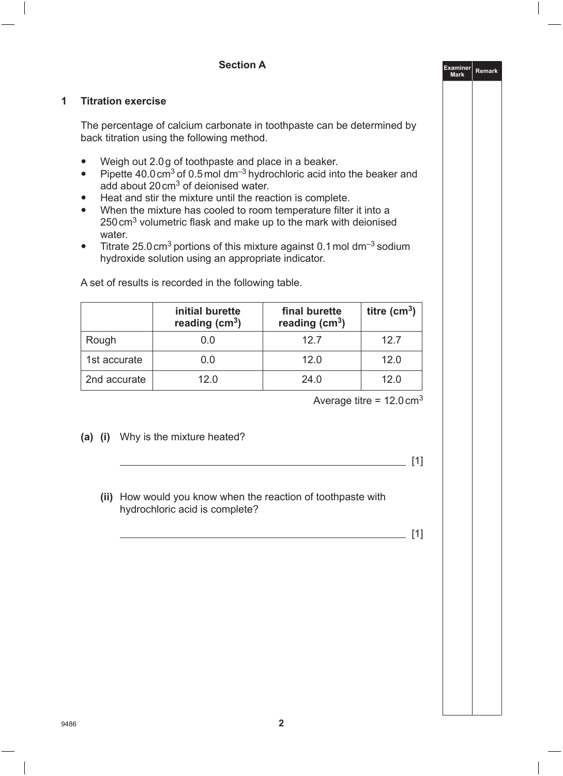#### **1 Titration exercise**

The percentage of calcium carbonate in toothpaste can be determined by back titration using the following method.

- Weigh out 2.0g of toothpaste and place in a beaker.
- Pipette 40.0 cm<sup>3</sup> of 0.5 mol dm<sup>-3</sup> hydrochloric acid into the beaker and add about 20cm3 of deionised water.
- Heat and stir the mixture until the reaction is complete.
- When the mixture has cooled to room temperature filter it into a 250cm3 volumetric flask and make up to the mark with deionised water.
- Titrate 25.0 cm<sup>3</sup> portions of this mixture against 0.1 mol dm<sup>-3</sup> sodium hydroxide solution using an appropriate indicator.

|              | initial burette<br>reading $(cm3)$ | final burette<br>reading $(cm3)$ | titre $(cm3)$ |
|--------------|------------------------------------|----------------------------------|---------------|
| Rough        | 0.0                                | 12.7                             | 12.7          |
| 1st accurate | 0.0                                | 12.0                             | 12.0          |
| 2nd accurate | 12 O                               | 24.0                             | 12 O          |

A set of results is recorded in the following table.

Average titre =  $12.0 \text{ cm}^3$ 

#### **(a) (i)** Why is the mixture heated?

\_\_\_\_\_\_\_ [1]

**Examiner** 

**Mark Remark**

**(ii)** How would you know when the reaction of toothpaste with hydrochloric acid is complete?

 $\frac{1}{2}$  [1]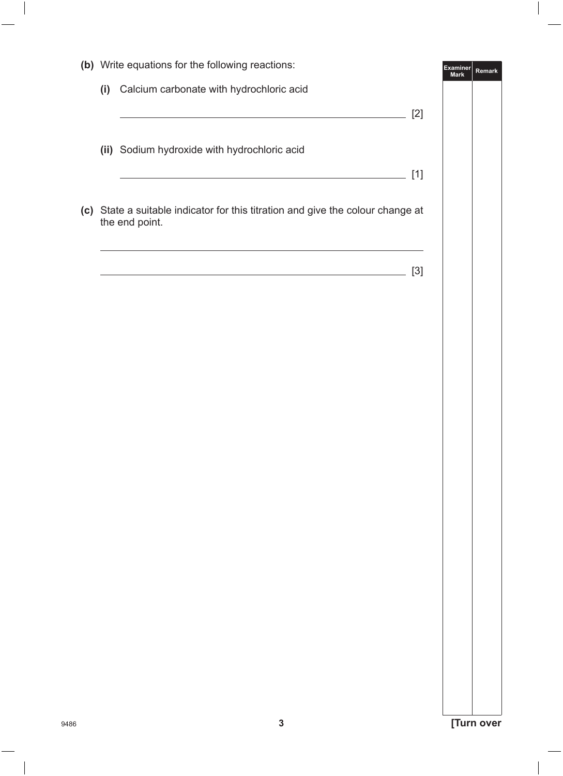|      | (b) Write equations for the following reactions:                                                                                                                                                                                          |       | Examiner<br><b>Mark</b> | Remark     |
|------|-------------------------------------------------------------------------------------------------------------------------------------------------------------------------------------------------------------------------------------------|-------|-------------------------|------------|
|      | (i) Calcium carbonate with hydrochloric acid                                                                                                                                                                                              |       |                         |            |
|      | <u> 1989 - Johann Stein, marwolaethau a bhann an t-Amhair an t-Amhair an t-Amhair an t-Amhair an t-Amhair an t-A</u>                                                                                                                      | $[2]$ |                         |            |
|      |                                                                                                                                                                                                                                           |       |                         |            |
|      | (ii) Sodium hydroxide with hydrochloric acid                                                                                                                                                                                              |       |                         |            |
|      | <u> 1989 - Johann Barn, fransk politik (d. 1989)</u>                                                                                                                                                                                      | $[1]$ |                         |            |
|      | (c) State a suitable indicator for this titration and give the colour change at<br>the end point.                                                                                                                                         |       |                         |            |
|      | and the control of the control of the control of the control of the control of the control of the control of the<br><u> 1989 - Johann Stoff, deutscher Stoff, der Stoff, der Stoff, der Stoff, der Stoff, der Stoff, der Stoff, der S</u> | $[3]$ |                         |            |
|      |                                                                                                                                                                                                                                           |       |                         |            |
|      |                                                                                                                                                                                                                                           |       |                         |            |
|      |                                                                                                                                                                                                                                           |       |                         |            |
|      |                                                                                                                                                                                                                                           |       |                         |            |
|      |                                                                                                                                                                                                                                           |       |                         |            |
|      |                                                                                                                                                                                                                                           |       |                         |            |
|      |                                                                                                                                                                                                                                           |       |                         |            |
|      |                                                                                                                                                                                                                                           |       |                         |            |
|      |                                                                                                                                                                                                                                           |       |                         |            |
|      |                                                                                                                                                                                                                                           |       |                         |            |
|      |                                                                                                                                                                                                                                           |       |                         |            |
|      |                                                                                                                                                                                                                                           |       |                         |            |
|      |                                                                                                                                                                                                                                           |       |                         |            |
|      |                                                                                                                                                                                                                                           |       |                         |            |
|      |                                                                                                                                                                                                                                           |       |                         |            |
|      |                                                                                                                                                                                                                                           |       |                         |            |
|      |                                                                                                                                                                                                                                           |       |                         |            |
|      |                                                                                                                                                                                                                                           |       |                         |            |
| 9486 | $\mathbf 3$                                                                                                                                                                                                                               |       |                         | [Turn over |
|      |                                                                                                                                                                                                                                           |       |                         |            |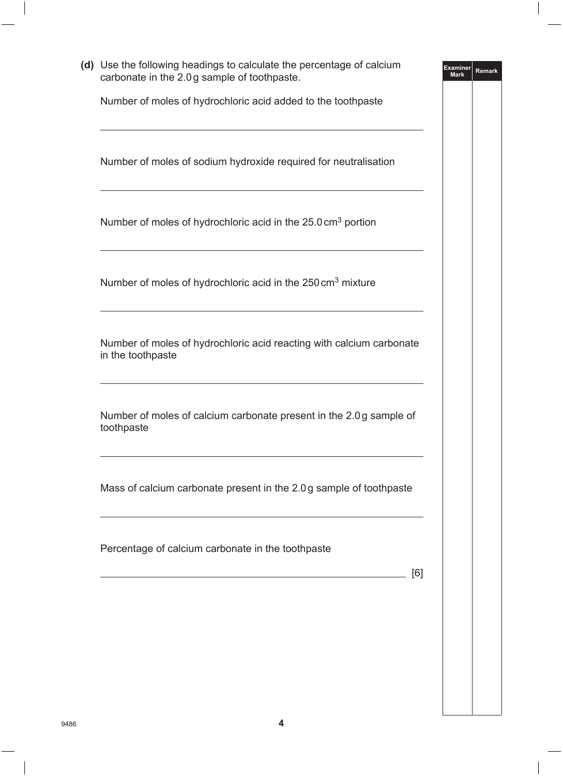| (d) Use the following headings to calculate the percentage of calcium<br>carbonate in the 2.0g sample of toothpaste. | <b>Examiner</b><br><b>Mark</b> | <b>Remark</b> |
|----------------------------------------------------------------------------------------------------------------------|--------------------------------|---------------|
| Number of moles of hydrochloric acid added to the toothpaste                                                         |                                |               |
| Number of moles of sodium hydroxide required for neutralisation                                                      |                                |               |
| Number of moles of hydrochloric acid in the 25.0 cm <sup>3</sup> portion                                             |                                |               |
| Number of moles of hydrochloric acid in the 250 cm <sup>3</sup> mixture                                              |                                |               |
| Number of moles of hydrochloric acid reacting with calcium carbonate<br>in the toothpaste                            |                                |               |
| Number of moles of calcium carbonate present in the 2.0g sample of<br>toothpaste                                     |                                |               |
| Mass of calcium carbonate present in the 2.0g sample of toothpaste                                                   |                                |               |
| Percentage of calcium carbonate in the toothpaste<br>[6]                                                             |                                |               |
|                                                                                                                      |                                |               |
|                                                                                                                      |                                |               |
|                                                                                                                      |                                |               |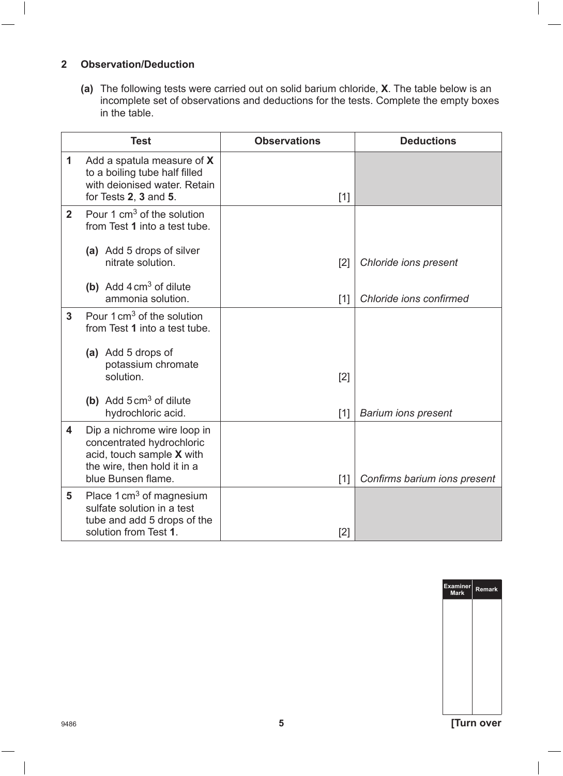#### **2 Observation/Deduction**

**(a)** The following tests were carried out on solid barium chloride, **X**. The table below is an incomplete set of observations and deductions for the tests. Complete the empty boxes in the table.

|                         | <b>Test</b>                                                                                                                                | <b>Observations</b> | <b>Deductions</b>            |
|-------------------------|--------------------------------------------------------------------------------------------------------------------------------------------|---------------------|------------------------------|
| 1                       | Add a spatula measure of X<br>to a boiling tube half filled<br>with deionised water. Retain<br>for Tests 2, 3 and 5.                       | $[1]$               |                              |
| 2 <sup>1</sup>          | Pour 1 $cm3$ of the solution<br>from Test 1 into a test tube.                                                                              |                     |                              |
|                         | (a) Add 5 drops of silver<br>nitrate solution.                                                                                             | [2]                 | Chloride ions present        |
|                         | (b) Add $4 \text{ cm}^3$ of dilute<br>ammonia solution.                                                                                    | $[1]$               | Chloride ions confirmed      |
| $\mathbf{3}$            | Pour 1 cm <sup>3</sup> of the solution<br>from Test 1 into a test tube.                                                                    |                     |                              |
|                         | (a) Add 5 drops of<br>potassium chromate<br>solution.                                                                                      | [2]                 |                              |
|                         | (b) Add $5 \text{ cm}^3$ of dilute<br>hydrochloric acid.                                                                                   | $[1]$               | <b>Barium ions present</b>   |
| $\overline{\mathbf{4}}$ | Dip a nichrome wire loop in<br>concentrated hydrochloric<br>acid, touch sample X with<br>the wire, then hold it in a<br>blue Bunsen flame. | $[1]$               | Confirms barium ions present |
| 5                       | Place $1 \text{ cm}^3$ of magnesium<br>sulfate solution in a test<br>tube and add 5 drops of the<br>solution from Test 1.                  | $[2]$               |                              |

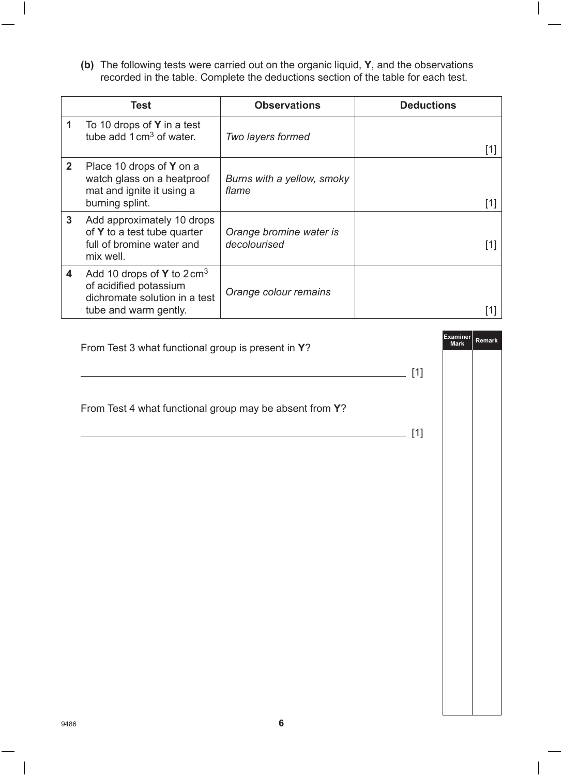**(b)** The following tests were carried out on the organic liquid, **Y**, and the observations recorded in the table. Complete the deductions section of the table for each test.

|              | Test                                                                                                                             | <b>Observations</b>                     | <b>Deductions</b> |
|--------------|----------------------------------------------------------------------------------------------------------------------------------|-----------------------------------------|-------------------|
| 1            | To 10 drops of <b>Y</b> in a test<br>tube add $1 \text{ cm}^3$ of water.                                                         | Two layers formed                       | 111               |
| $\mathbf{2}$ | Place 10 drops of Y on a<br>watch glass on a heatproof<br>mat and ignite it using a<br>burning splint.                           | Burns with a yellow, smoky<br>flame     | [1]               |
| $\mathbf{3}$ | Add approximately 10 drops<br>of Y to a test tube quarter<br>full of bromine water and<br>mix well.                              | Orange bromine water is<br>decolourised |                   |
| 4            | Add 10 drops of <b>Y</b> to $2 \text{ cm}^3$<br>of acidified potassium<br>dichromate solution in a test<br>tube and warm gently. | Orange colour remains                   |                   |

| From Test 3 what functional group is present in Y?      |       | <b>Examiner</b><br><b>Mark</b> | Remark |
|---------------------------------------------------------|-------|--------------------------------|--------|
|                                                         | $[1]$ |                                |        |
| From Test 4 what functional group may be absent from Y? |       |                                |        |
|                                                         | $[1]$ |                                |        |
|                                                         |       |                                |        |
|                                                         |       |                                |        |
|                                                         |       |                                |        |
|                                                         |       |                                |        |
|                                                         |       |                                |        |
|                                                         |       |                                |        |
|                                                         |       |                                |        |
|                                                         |       |                                |        |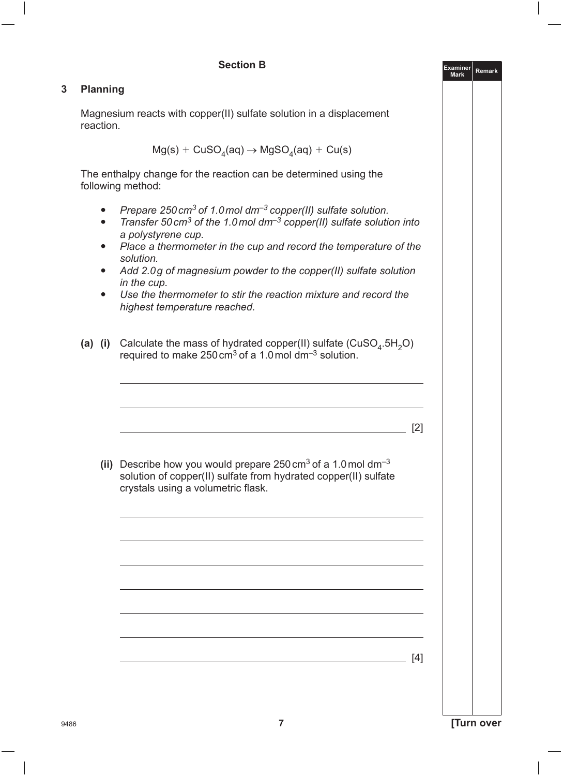#### **Section B**

#### **3 Planning**

Magnesium reacts with copper(II) sulfate solution in a displacement reaction.

$$
\text{Mg}(s) + \text{CuSO}_4(aq) \rightarrow \text{MgSO}_4(aq) + \text{Cu}(s)
$$

The enthalpy change for the reaction can be determined using the following method:

- *Prepare 250cm3 of 1.0mol dm–3 copper(II) sulfate solution.*
- *Transfer 50cm3 of the 1.0mol dm–3 copper(II) sulfate solution into a polystyrene cup.*
- *Place a thermometer in the cup and record the temperature of the solution.*
- *Add 2.0g of magnesium powder to the copper(II) sulfate solution in the cup.*
- *Use the thermometer to stir the reaction mixture and record the highest temperature reached.*
- **(a) (i)** Calculate the mass of hydrated copper(II) sulfate  $(CuSO<sub>4</sub>.5H<sub>2</sub>O)$ required to make 250  $\text{cm}^3$  of a 1.0 mol dm<sup>-3</sup> solution.

(ii) Describe how you would prepare  $250 \text{ cm}^3$  of a 1.0 mol dm<sup>-3</sup> solution of copper(II) sulfate from hydrated copper(II) sulfate crystals using a volumetric flask.

[4]

 $\sim$  [2]

**Examiner** 

**Mark Remark**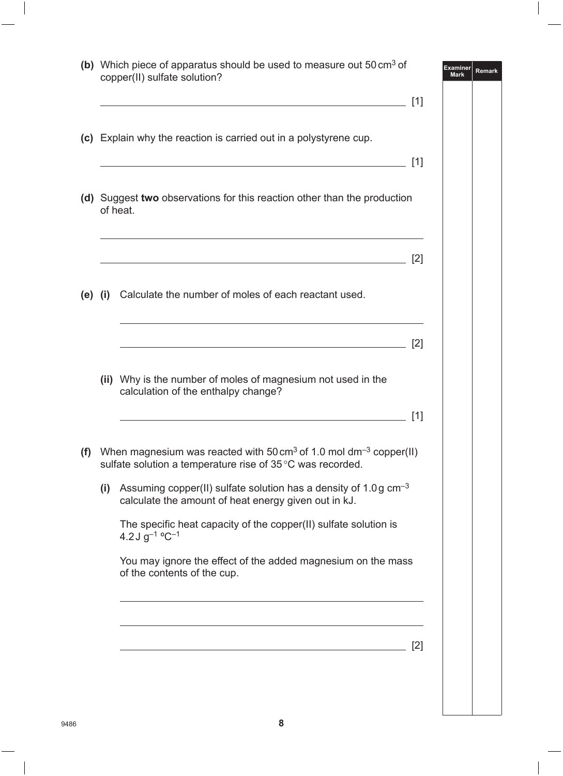|     |     | (b) Which piece of apparatus should be used to measure out $50 \text{ cm}^3$ of<br>copper(II) sulfate solution?                                         | <b>Examiner</b><br><b>Remark</b><br><b>Mark</b><br>[1] |
|-----|-----|---------------------------------------------------------------------------------------------------------------------------------------------------------|--------------------------------------------------------|
|     |     | (c) Explain why the reaction is carried out in a polystyrene cup.                                                                                       |                                                        |
|     |     | (d) Suggest two observations for this reaction other than the production<br>of heat.                                                                    |                                                        |
|     |     |                                                                                                                                                         | [2]                                                    |
|     |     | (e) (i) Calculate the number of moles of each reactant used.                                                                                            |                                                        |
|     |     | <u> 1989 - Johann Stoff, deutscher Stoff, der Stoff, der Stoff, der Stoff, der Stoff, der Stoff, der Stoff, der S</u>                                   | $\lceil 2 \rceil$                                      |
|     |     | (ii) Why is the number of moles of magnesium not used in the<br>calculation of the enthalpy change?                                                     |                                                        |
|     |     |                                                                                                                                                         | [1]                                                    |
| (f) |     | When magnesium was reacted with 50 cm <sup>3</sup> of 1.0 mol dm <sup>-3</sup> copper(II)<br>sulfate solution a temperature rise of 35 °C was recorded. |                                                        |
|     | (i) | Assuming copper(II) sulfate solution has a density of 1.0g $\text{cm}^{-3}$<br>calculate the amount of heat energy given out in kJ.                     |                                                        |
|     |     | The specific heat capacity of the copper(II) sulfate solution is<br>4.2 J $g^{-1}$ °C <sup>-1</sup>                                                     |                                                        |
|     |     | You may ignore the effect of the added magnesium on the mass<br>of the contents of the cup.                                                             |                                                        |
|     |     |                                                                                                                                                         | [2]                                                    |
|     |     |                                                                                                                                                         |                                                        |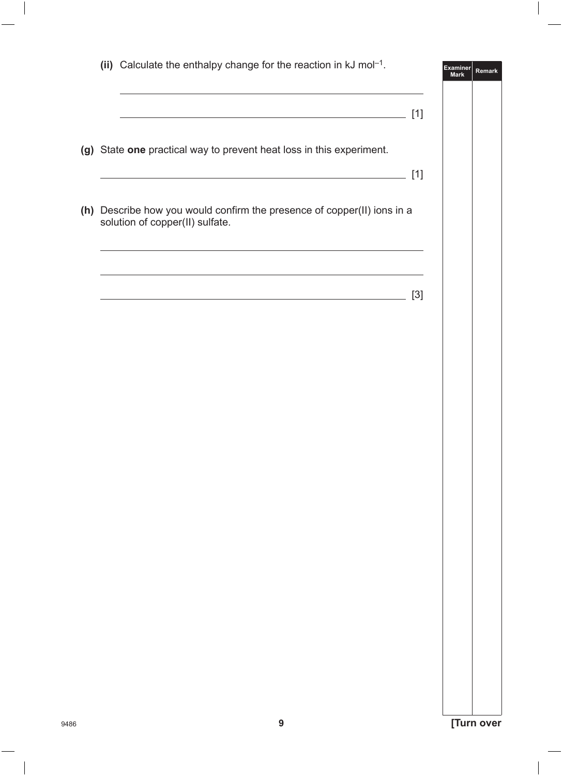| (ii) Calculate the enthalpy change for the reaction in $kJ$ mol <sup>-1</sup> .                                                                                             |       | Examiner<br><b>Mark</b> | <b>Remark</b> |
|-----------------------------------------------------------------------------------------------------------------------------------------------------------------------------|-------|-------------------------|---------------|
|                                                                                                                                                                             |       |                         |               |
| (g) State one practical way to prevent heat loss in this experiment.                                                                                                        |       |                         |               |
| <u> 1989 - Johann Harry Harry Harry Harry Harry Harry Harry Harry Harry Harry Harry Harry Harry Harry Harry Harry</u>                                                       | $[1]$ |                         |               |
| (h) Describe how you would confirm the presence of copper(II) ions in a<br>solution of copper(II) sulfate.                                                                  |       |                         |               |
| <u> 1980 - Johann Barbara, martxa alemaniar arg</u><br><u> 1989 - Johann Stein, marwolaethau a bhann an t-Amhair an t-Amhair an t-Amhair an t-Amhair an t-Amhair an t-A</u> |       |                         |               |
|                                                                                                                                                                             | $[3]$ |                         |               |
|                                                                                                                                                                             |       |                         |               |
|                                                                                                                                                                             |       |                         |               |
|                                                                                                                                                                             |       |                         |               |
|                                                                                                                                                                             |       |                         |               |
|                                                                                                                                                                             |       |                         |               |
|                                                                                                                                                                             |       |                         |               |
|                                                                                                                                                                             |       |                         |               |
|                                                                                                                                                                             |       |                         |               |
|                                                                                                                                                                             |       |                         |               |
|                                                                                                                                                                             |       |                         |               |
|                                                                                                                                                                             |       |                         |               |
| $\boldsymbol{9}$                                                                                                                                                            |       |                         | [Turn over    |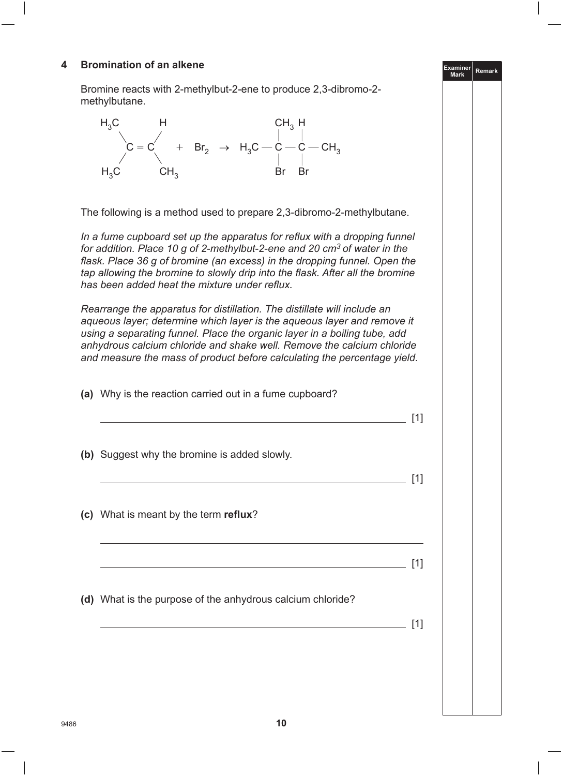#### **4 Bromination of an alkene**

Bromine reacts with 2-methylbut-2-ene to produce 2,3-dibromo-2 methylbutane.

**Examiner** 

 $[1]$ 

**Mark Remark**



The following is a method used to prepare 2,3-dibromo-2-methylbutane.

In a fume cupboard set up the apparatus for reflux with a dropping funnel *for addition. Place 10 g of 2*-*methylbut*-*2*-*ene and 20 cm3 of water in the*  flask. Place 36 g of bromine (an excess) in the dropping funnel. Open the *tap allowing the bromine to slowly drip into the flask. After all the bromine has been added heat the mixture under reflux.*

*Rearrange the apparatus for distillation. The distillate will include an aqueous layer; determine which layer is the aqueous layer and remove it using a separating funnel. Place the organic layer in a boiling tube, add anhydrous calcium chloride and shake well. Remove the calcium chloride and measure the mass of product before calculating the percentage yield.*

**(a)** Why is the reaction carried out in a fume cupboard?

|                                                            | ш   |
|------------------------------------------------------------|-----|
| (b) Suggest why the bromine is added slowly.               |     |
|                                                            |     |
| (c) What is meant by the term reflux?                      |     |
|                                                            | [1] |
| (d) What is the purpose of the anhydrous calcium chloride? |     |
|                                                            |     |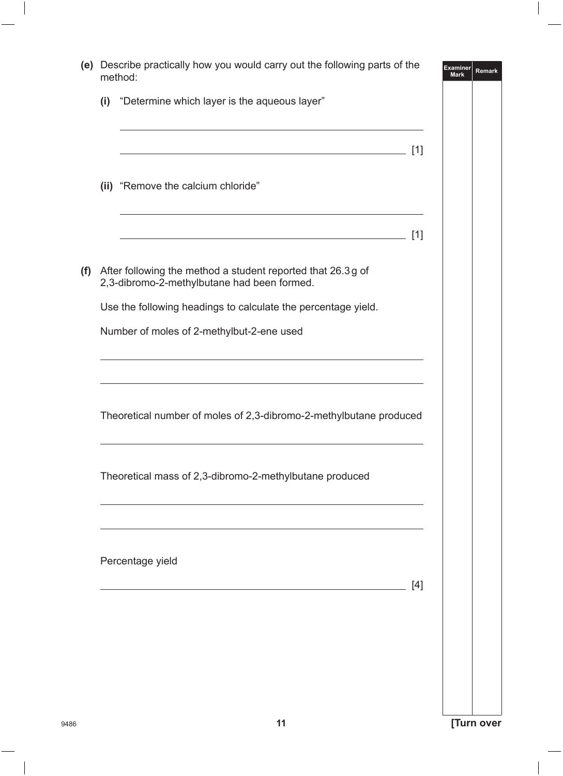|     | (e) Describe practically how you would carry out the following parts of the<br>method:                                                                                       | <b>Examiner</b><br><b>Mark</b> |
|-----|------------------------------------------------------------------------------------------------------------------------------------------------------------------------------|--------------------------------|
|     | (i) "Determine which layer is the aqueous layer"                                                                                                                             |                                |
|     | <u> 1989 - Johann Stein, marwolaethau a bhann an t-Amhain an t-Amhain an t-Amhain an t-Amhain an t-Amhain an t-A</u><br><u> 1989 - Johann Barn, fransk politik (f. 1989)</u> | $[1]$                          |
|     | (ii) "Remove the calcium chloride"                                                                                                                                           |                                |
|     | <u> 1980 - Johann Barn, amerikansk politiker (d. 1980)</u>                                                                                                                   |                                |
| (f) | After following the method a student reported that 26.3g of<br>2,3-dibromo-2-methylbutane had been formed.                                                                   |                                |
|     | Use the following headings to calculate the percentage yield.                                                                                                                |                                |
|     | Number of moles of 2-methylbut-2-ene used                                                                                                                                    |                                |
|     | Theoretical number of moles of 2,3-dibromo-2-methylbutane produced                                                                                                           |                                |
|     | Theoretical mass of 2,3-dibromo-2-methylbutane produced                                                                                                                      |                                |
|     | Percentage yield                                                                                                                                                             |                                |
|     |                                                                                                                                                                              | [4]                            |
|     |                                                                                                                                                                              |                                |
|     |                                                                                                                                                                              |                                |
|     |                                                                                                                                                                              |                                |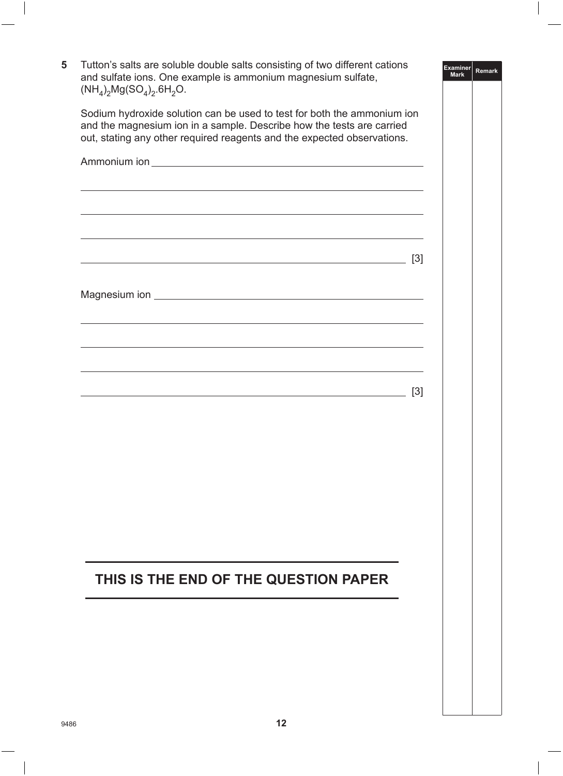**Examiner Mark Remark 5** Tutton's salts are soluble double salts consisting of two different cations and sulfate ions. One example is ammonium magnesium sulfate,  $(NH_4)_2Mg(SO_4)_2.6H_2O.$ Sodium hydroxide solution can be used to test for both the ammonium ion and the magnesium ion in a sample. Describe how the tests are carried out, stating any other required reagents and the expected observations.

| ,我们也不会有什么。""我们的人,我们也不会有什么?""我们的人,我们也不会有什么?""我们的人,我们也不会有什么?""我们的人,我们也不会有什么?""我们的人<br>,我们也不能在这里的时候,我们也不能在这里的时候,我们也不能会在这里的时候,我们也不能会在这里的时候,我们也不能会在这里的时候,我们也不能会在这里的时候,我们也<br><u> 1989 - Johann Stoff, deutscher Stoffen und der Stoffen und der Stoffen und der Stoffen und der Stoffen und de</u><br><u> 1989 - Johann Barn, amerikan besteman besteman besteman besteman besteman besteman besteman besteman besteman</u><br><u> 1989 - Johann Harry Harry Harry Harry Harry Harry Harry Harry Harry Harry Harry Harry Harry Harry Harry Harry</u><br><u> 1989 - Johann Stoff, deutscher Stoff, der Stoff, der Stoff, der Stoff, der Stoff, der Stoff, der Stoff, der S</u><br><u> 1989 - Johann Barn, mars eta bainar eta baina eta baina eta baina eta baina eta baina eta baina eta baina e</u> | $[3]$ |
|-------------------------------------------------------------------------------------------------------------------------------------------------------------------------------------------------------------------------------------------------------------------------------------------------------------------------------------------------------------------------------------------------------------------------------------------------------------------------------------------------------------------------------------------------------------------------------------------------------------------------------------------------------------------------------------------------------------------------------------------------------------------------------------------------|-------|
|                                                                                                                                                                                                                                                                                                                                                                                                                                                                                                                                                                                                                                                                                                                                                                                                 |       |
|                                                                                                                                                                                                                                                                                                                                                                                                                                                                                                                                                                                                                                                                                                                                                                                                 |       |
|                                                                                                                                                                                                                                                                                                                                                                                                                                                                                                                                                                                                                                                                                                                                                                                                 |       |
|                                                                                                                                                                                                                                                                                                                                                                                                                                                                                                                                                                                                                                                                                                                                                                                                 |       |
|                                                                                                                                                                                                                                                                                                                                                                                                                                                                                                                                                                                                                                                                                                                                                                                                 | $[3]$ |
|                                                                                                                                                                                                                                                                                                                                                                                                                                                                                                                                                                                                                                                                                                                                                                                                 |       |
|                                                                                                                                                                                                                                                                                                                                                                                                                                                                                                                                                                                                                                                                                                                                                                                                 |       |
| THIS IS THE END OF THE QUESTION PAPER                                                                                                                                                                                                                                                                                                                                                                                                                                                                                                                                                                                                                                                                                                                                                           |       |
|                                                                                                                                                                                                                                                                                                                                                                                                                                                                                                                                                                                                                                                                                                                                                                                                 |       |